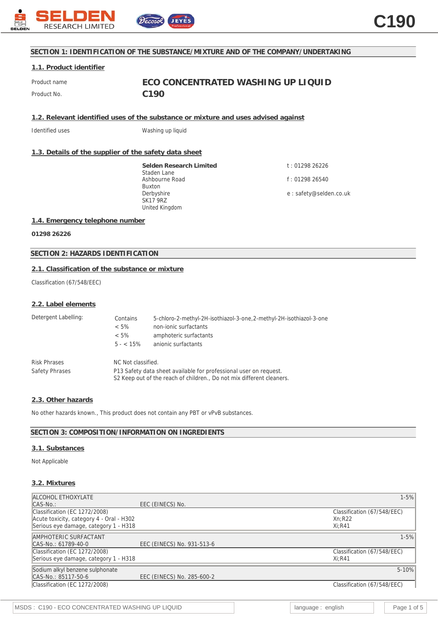

## **SECTION 1: IDENTIFICATION OF THE SUBSTANCE/MIXTURE AND OF THE COMPANY/UNDERTAKING**

### **1.1. Product identifier**

Product No. **C190** 

Product name **ECO CONCENTRATED WASHING UP LIQUID**

**1.2. Relevant identified uses of the substance or mixture and uses advised against**

Identified uses **Washing up liquid** 

## **1.3. Details of the supplier of the safety data sheet**

**Selden Research Limited** Staden Lane Ashbourne Road Buxton Derbyshire SK17 9RZ United Kingdom

t : 01298 26226 f : 01298 26540 e : safety@selden.co.uk

## **1.4. Emergency telephone number**

**01298 26226**

**SECTION 2: HAZARDS IDENTIFICATION**

# **2.1. Classification of the substance or mixture**

Classification (67/548/EEC)

#### **2.2. Label elements**

| Detergent Labelling:  | Contains<br>$< 5\%$<br>$< 5\%$<br>$5 - < 15\%$                    | 5-chloro-2-methyl-2H-isothiazol-3-one,2-methyl-2H-isothiazol-3-one<br>non-jonic surfactants<br>amphoteric surfactants<br>anionic surfactants |
|-----------------------|-------------------------------------------------------------------|----------------------------------------------------------------------------------------------------------------------------------------------|
| <b>Risk Phrases</b>   | NC Not classified.                                                |                                                                                                                                              |
| <b>Safety Phrases</b> | P13 Safety data sheet available for professional user on request. |                                                                                                                                              |

S2 Keep out of the reach of children., Do not mix different cleaners.

# **2.3. Other hazards**

No other hazards known., This product does not contain any PBT or vPvB substances.

## **SECTION 3: COMPOSITION/INFORMATION ON INGREDIENTS**

## **3.1. Substances**

#### Not Applicable

# **3.2. Mixtures**

| <b>ALCOHOL ETHOXYLATE</b>                |                            | $1 - 5%$                    |
|------------------------------------------|----------------------------|-----------------------------|
| $ CAS-No.$ :                             | EEC (EINECS) No.           |                             |
| Classification (EC 1272/2008)            |                            | Classification (67/548/EEC) |
| Acute toxicity, category 4 - Oral - H302 |                            | Xn:R22                      |
| Serious eye damage, category 1 - H318    |                            | $Xi:$ R41                   |
| AMPHOTERIC SURFACTANT                    |                            | $1 - 5%$                    |
| $ CAS-N0: 61789-40-0 $                   | EEC (EINECS) No. 931-513-6 |                             |
| Classification (EC 1272/2008)            |                            | Classification (67/548/EEC) |
| Serious eye damage, category 1 - H318    |                            | $Xi:$ R41                   |
| Sodium alkyl benzene sulphonate          |                            | $5 - 10%$                   |
| CAS-No.: 85117-50-6                      | EEC (EINECS) No. 285-600-2 |                             |
| Classification (EC 1272/2008)            |                            | Classification (67/548/EEC) |
|                                          |                            |                             |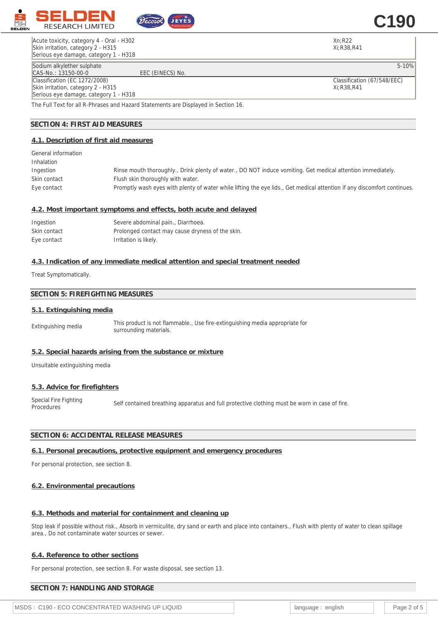

Acute toxicity, category 4 - Oral - H302 Skin irritation, category 2 - H315 Serious eye damage, category 1 - H318 Xn;R22 Xi;R38,R41

**C190**

Classification (67/548/EEC) Xi;R38,R41

Sodium alkylether sulphate 5-10% (Sodium alkylether sulphate 5-10% of the Second Library of the Second Library S<br>CAS-No.: 13150-00-0 (Second Library Second Library Second Library Second Library Second Library Second Librar CAS-No.: 13150-00-0 Classification (EC 1272/2008) Skin irritation, category 2 - H315 Serious eye damage, category 1 - H318

The Full Text for all R-Phrases and Hazard Statements are Displayed in Section 16.

# **SECTION 4: FIRST AID MEASURES**

## **4.1. Description of first aid measures**

| General information |                                                                                                                         |
|---------------------|-------------------------------------------------------------------------------------------------------------------------|
| Inhalation          |                                                                                                                         |
| Ingestion           | Rinse mouth thoroughly., Drink plenty of water., DO NOT induce vomiting. Get medical attention immediately.             |
| Skin contact        | Flush skin thoroughly with water.                                                                                       |
| Eye contact         | Promptly wash eyes with plenty of water while lifting the eye lids., Get medical attention if any discomfort continues. |
|                     |                                                                                                                         |

## **4.2. Most important symptoms and effects, both acute and delayed**

| Ingestion    | Severe abdominal pain., Diarrhoea.               |
|--------------|--------------------------------------------------|
| Skin contact | Prolonged contact may cause dryness of the skin. |
| Eye contact  | Irritation is likely.                            |

# **4.3. Indication of any immediate medical attention and special treatment needed**

Treat Symptomatically.

## **SECTION 5: FIREFIGHTING MEASURES**

### **5.1. Extinguishing media**

Extinguishing media This product is not flammable., Use fire-extinguishing media appropriate for surrounding materials.

## **5.2. Special hazards arising from the substance or mixture**

Unsuitable extinguishing media

## **5.3. Advice for firefighters**

Special Fire Fighting Special Fire Fighting Self contained breathing apparatus and full protective clothing must be worn in case of fire.<br>Procedures

## **SECTION 6: ACCIDENTAL RELEASE MEASURES**

## **6.1. Personal precautions, protective equipment and emergency procedures**

For personal protection, see section 8.

## **6.2. Environmental precautions**

## **6.3. Methods and material for containment and cleaning up**

Stop leak if possible without risk., Absorb in vermiculite, dry sand or earth and place into containers., Flush with plenty of water to clean spillage area., Do not contaminate water sources or sewer.

## **6.4. Reference to other sections**

For personal protection, see section 8. For waste disposal, see section 13.

## **SECTION 7: HANDLING AND STORAGE**

MSDS : C190 - ECO CONCENTRATED WASHING UP LIQUID language : english and page 2 of 5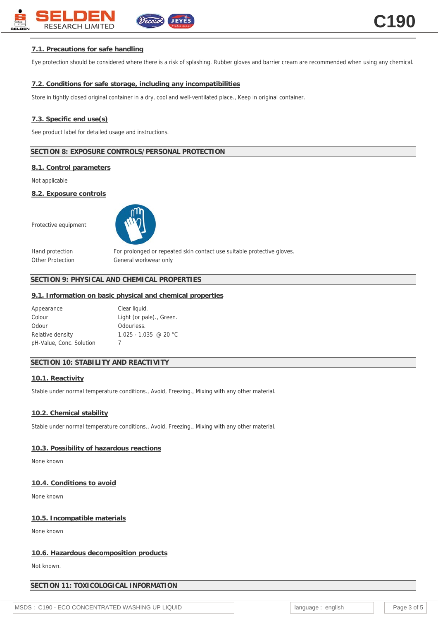# **7.1. Precautions for safe handling**

Eye protection should be considered where there is a risk of splashing. Rubber gloves and barrier cream are recommended when using any chemical.

# **7.2. Conditions for safe storage, including any incompatibilities**

Store in tightly closed original container in a dry, cool and well-ventilated place., Keep in original container.

### **7.3. Specific end use(s)**

See product label for detailed usage and instructions.

## **SECTION 8: EXPOSURE CONTROLS/PERSONAL PROTECTION**

### **8.1. Control parameters**

Not applicable

**8.2. Exposure controls**

Protective equipment



Other Protection General workwear only

Hand protection For prolonged or repeated skin contact use suitable protective gloves.

# **SECTION 9: PHYSICAL AND CHEMICAL PROPERTIES**

#### **9.1. Information on basic physical and chemical properties**

| Appearance               | Clear liquid.            |
|--------------------------|--------------------------|
| Colour                   | Light (or pale)., Green. |
| Odour                    | Odourless.               |
| Relative density         | $1.025 - 1.035$ @ 20 °C  |
| pH-Value, Conc. Solution |                          |

# **SECTION 10: STABILITY AND REACTIVITY**

#### **10.1. Reactivity**

Stable under normal temperature conditions., Avoid, Freezing., Mixing with any other material.

#### **10.2. Chemical stability**

Stable under normal temperature conditions., Avoid, Freezing., Mixing with any other material.

## **10.3. Possibility of hazardous reactions**

None known

**10.4. Conditions to avoid**

None known

#### **10.5. Incompatible materials**

None known

# **10.6. Hazardous decomposition products**

Not known.

# **SECTION 11: TOXICOLOGICAL INFORMATION**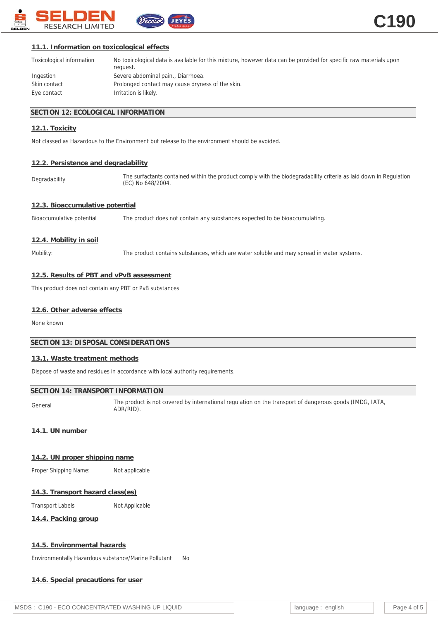

# **11.1. Information on toxicological effects**

| Toxicological information | No toxicological data is available for this mixture, however data can be provided for specific raw materials upon<br>request. |
|---------------------------|-------------------------------------------------------------------------------------------------------------------------------|
| Ingestion                 | Severe abdominal pain., Diarrhoea.                                                                                            |
| Skin contact              | Prolonged contact may cause dryness of the skin.                                                                              |
| Eye contact               | Irritation is likely.                                                                                                         |

## **SECTION 12: ECOLOGICAL INFORMATION**

## **12.1. Toxicity**

Not classed as Hazardous to the Environment but release to the environment should be avoided.

# **12.2. Persistence and degradability**

Degradability The surfactants contained within the product comply with the biodegradability criteria as laid down in Regulation (EC) No 648/2004.

# **12.3. Bioaccumulative potential**

Bioaccumulative potential The product does not contain any substances expected to be bioaccumulating.

JEYES

## **12.4. Mobility in soil**

Mobility: The product contains substances, which are water soluble and may spread in water systems.

## **12.5. Results of PBT and vPvB assessment**

This product does not contain any PBT or PvB substances

## **12.6. Other adverse effects**

None known

## **SECTION 13: DISPOSAL CONSIDERATIONS**

## **13.1. Waste treatment methods**

Dispose of waste and residues in accordance with local authority requirements.

## **SECTION 14: TRANSPORT INFORMATION**

General The product is not covered by international regulation on the transport of dangerous goods (IMDG, IATA, ADR/RID).

# **14.1. UN number**

## **14.2. UN proper shipping name**

Proper Shipping Name: Not applicable

## **14.3. Transport hazard class(es)**

Transport Labels Not Applicable

**14.4. Packing group**

## **14.5. Environmental hazards**

Environmentally Hazardous substance/Marine Pollutant No

**14.6. Special precautions for user**